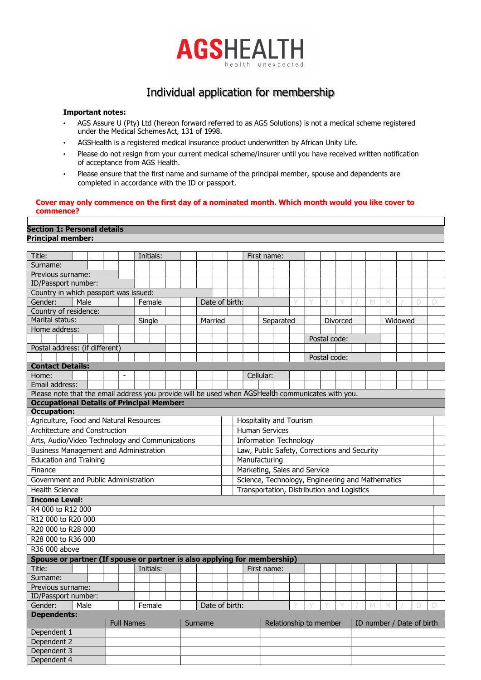

# Individual application for membership

# Important notes:

- AGS Assure U (Pty) Ltd (hereon forward referred to as AGS Solutions) is not a medical scheme registered under the Medical Schemes Act, 131 of 1998.
- AGSHealth is a registered medical insurance product underwritten by African Unity Life.
- Please do not resign from your current medical scheme/insurer until you have received written notification of acceptance from AGS Health.
- Please ensure that the first name and surname of the principal member, spouse and dependents are completed in accordance with the ID or passport.

# Cover may only commence on the first day of a nominated month. Which month would you like cover to commence?

# Section 1: Personal details Principal member:

| Title:                                                                                            |  |  |        | Initials: |  |  |                                              |                                                     |                |  | First name: |                                            |           |              |              |          |  |   |   |         |  |  |  |  |  |
|---------------------------------------------------------------------------------------------------|--|--|--------|-----------|--|--|----------------------------------------------|-----------------------------------------------------|----------------|--|-------------|--------------------------------------------|-----------|--------------|--------------|----------|--|---|---|---------|--|--|--|--|--|
| Surname:                                                                                          |  |  |        |           |  |  |                                              |                                                     |                |  |             |                                            |           |              |              |          |  |   |   |         |  |  |  |  |  |
| Previous surname:                                                                                 |  |  |        |           |  |  |                                              |                                                     |                |  |             |                                            |           |              |              |          |  |   |   |         |  |  |  |  |  |
| ID/Passport number:                                                                               |  |  |        |           |  |  |                                              |                                                     |                |  |             |                                            |           |              |              |          |  |   |   |         |  |  |  |  |  |
| Country in which passport was issued:                                                             |  |  |        |           |  |  |                                              |                                                     |                |  |             |                                            |           |              |              |          |  |   |   |         |  |  |  |  |  |
| Gender:<br>Male                                                                                   |  |  | Female |           |  |  |                                              |                                                     | Date of birth: |  |             |                                            |           |              |              |          |  | M | M |         |  |  |  |  |  |
| Country of residence:                                                                             |  |  |        |           |  |  |                                              |                                                     |                |  |             |                                            |           |              |              |          |  |   |   |         |  |  |  |  |  |
| Marital status:                                                                                   |  |  | Single |           |  |  |                                              | Married                                             |                |  | Separated   |                                            |           |              |              | Divorced |  |   |   | Widowed |  |  |  |  |  |
| Home address:                                                                                     |  |  |        |           |  |  |                                              |                                                     |                |  |             |                                            |           |              |              |          |  |   |   |         |  |  |  |  |  |
|                                                                                                   |  |  |        |           |  |  |                                              |                                                     |                |  |             |                                            |           | Postal code: |              |          |  |   |   |         |  |  |  |  |  |
| Postal address: (if different)                                                                    |  |  |        |           |  |  |                                              |                                                     |                |  |             |                                            |           |              |              |          |  |   |   |         |  |  |  |  |  |
|                                                                                                   |  |  |        |           |  |  |                                              |                                                     |                |  |             |                                            |           |              | Postal code: |          |  |   |   |         |  |  |  |  |  |
| <b>Contact Details:</b>                                                                           |  |  |        |           |  |  |                                              |                                                     |                |  |             |                                            |           |              |              |          |  |   |   |         |  |  |  |  |  |
| Home:                                                                                             |  |  |        |           |  |  |                                              |                                                     |                |  |             |                                            | Cellular: |              |              |          |  |   |   |         |  |  |  |  |  |
| Email address:                                                                                    |  |  |        |           |  |  |                                              |                                                     |                |  |             |                                            |           |              |              |          |  |   |   |         |  |  |  |  |  |
| Please note that the email address you provide will be used when AGSHealth communicates with you. |  |  |        |           |  |  |                                              |                                                     |                |  |             |                                            |           |              |              |          |  |   |   |         |  |  |  |  |  |
| <b>Occupational Details of Principal Member:</b>                                                  |  |  |        |           |  |  |                                              |                                                     |                |  |             |                                            |           |              |              |          |  |   |   |         |  |  |  |  |  |
| <b>Occupation:</b>                                                                                |  |  |        |           |  |  |                                              |                                                     |                |  |             |                                            |           |              |              |          |  |   |   |         |  |  |  |  |  |
| Agriculture, Food and Natural Resources                                                           |  |  |        |           |  |  |                                              |                                                     |                |  |             | Hospitality and Tourism                    |           |              |              |          |  |   |   |         |  |  |  |  |  |
| Architecture and Construction                                                                     |  |  |        |           |  |  |                                              |                                                     |                |  |             | <b>Human Services</b>                      |           |              |              |          |  |   |   |         |  |  |  |  |  |
| Arts, Audio/Video Technology and Communications                                                   |  |  |        |           |  |  | <b>Information Technology</b>                |                                                     |                |  |             |                                            |           |              |              |          |  |   |   |         |  |  |  |  |  |
| <b>Business Management and Administration</b>                                                     |  |  |        |           |  |  | Law, Public Safety, Corrections and Security |                                                     |                |  |             |                                            |           |              |              |          |  |   |   |         |  |  |  |  |  |
| <b>Education and Training</b>                                                                     |  |  |        |           |  |  |                                              | Manufacturing                                       |                |  |             |                                            |           |              |              |          |  |   |   |         |  |  |  |  |  |
| Finance                                                                                           |  |  |        |           |  |  |                                              | Marketing, Sales and Service                        |                |  |             |                                            |           |              |              |          |  |   |   |         |  |  |  |  |  |
| Government and Public Administration                                                              |  |  |        |           |  |  |                                              | Science, Technology, Engineering and Mathematics    |                |  |             |                                            |           |              |              |          |  |   |   |         |  |  |  |  |  |
| <b>Health Science</b>                                                                             |  |  |        |           |  |  |                                              |                                                     |                |  |             | Transportation, Distribution and Logistics |           |              |              |          |  |   |   |         |  |  |  |  |  |
| <b>Income Level:</b>                                                                              |  |  |        |           |  |  |                                              |                                                     |                |  |             |                                            |           |              |              |          |  |   |   |         |  |  |  |  |  |
| R4 000 to R12 000                                                                                 |  |  |        |           |  |  |                                              |                                                     |                |  |             |                                            |           |              |              |          |  |   |   |         |  |  |  |  |  |
| R12 000 to R20 000                                                                                |  |  |        |           |  |  |                                              |                                                     |                |  |             |                                            |           |              |              |          |  |   |   |         |  |  |  |  |  |
| R20 000 to R28 000                                                                                |  |  |        |           |  |  |                                              |                                                     |                |  |             |                                            |           |              |              |          |  |   |   |         |  |  |  |  |  |
| R28 000 to R36 000                                                                                |  |  |        |           |  |  |                                              |                                                     |                |  |             |                                            |           |              |              |          |  |   |   |         |  |  |  |  |  |
| R36 000 above                                                                                     |  |  |        |           |  |  |                                              |                                                     |                |  |             |                                            |           |              |              |          |  |   |   |         |  |  |  |  |  |
|                                                                                                   |  |  |        |           |  |  |                                              |                                                     |                |  |             |                                            |           |              |              |          |  |   |   |         |  |  |  |  |  |
| Spouse or partner (If spouse or partner is also applying for membership)<br>Title:<br>Initials:   |  |  |        |           |  |  | First name:                                  |                                                     |                |  |             |                                            |           |              |              |          |  |   |   |         |  |  |  |  |  |
| Surname:                                                                                          |  |  |        |           |  |  |                                              |                                                     |                |  |             |                                            |           |              |              |          |  |   |   |         |  |  |  |  |  |
|                                                                                                   |  |  |        |           |  |  |                                              |                                                     |                |  |             |                                            |           |              |              |          |  |   |   |         |  |  |  |  |  |
| Previous surname:<br>ID/Passport number:                                                          |  |  |        |           |  |  |                                              |                                                     |                |  |             |                                            |           |              |              |          |  |   |   |         |  |  |  |  |  |
| Gender:<br>Male<br>Date of birth:<br>Female                                                       |  |  |        |           |  |  |                                              |                                                     |                |  |             |                                            |           |              | M            | M        |  |   |   |         |  |  |  |  |  |
|                                                                                                   |  |  |        |           |  |  |                                              |                                                     |                |  |             |                                            |           |              |              |          |  |   |   |         |  |  |  |  |  |
| <b>Dependents:</b><br><b>Full Names</b><br>Surname                                                |  |  |        |           |  |  |                                              | Relationship to member<br>ID number / Date of birth |                |  |             |                                            |           |              |              |          |  |   |   |         |  |  |  |  |  |
| Dependent 1                                                                                       |  |  |        |           |  |  |                                              |                                                     |                |  |             |                                            |           |              |              |          |  |   |   |         |  |  |  |  |  |
| Dependent 2                                                                                       |  |  |        |           |  |  |                                              |                                                     |                |  |             |                                            |           |              |              |          |  |   |   |         |  |  |  |  |  |
| Dependent 3                                                                                       |  |  |        |           |  |  |                                              |                                                     |                |  |             |                                            |           |              |              |          |  |   |   |         |  |  |  |  |  |
| Dependent 4                                                                                       |  |  |        |           |  |  |                                              |                                                     |                |  |             |                                            |           |              |              |          |  |   |   |         |  |  |  |  |  |
|                                                                                                   |  |  |        |           |  |  |                                              |                                                     |                |  |             |                                            |           |              |              |          |  |   |   |         |  |  |  |  |  |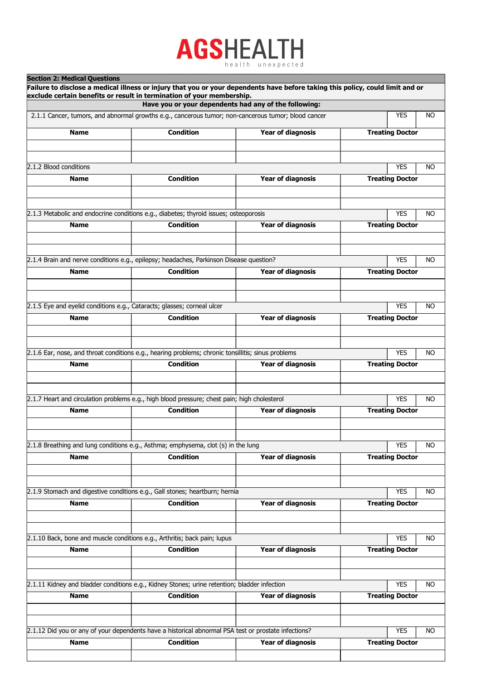# **AGSHEALTH** health unexpected

 $\mathbf{S}$  and  $\mathbf{S}$  and  $\mathbf{S}$  and  $\mathbf{S}$ 

| Section 2: Medical Questions                                                                         |                  | Failure to disclose a medical illness or injury that you or your dependents have before taking this policy, could limit and or |                         |  |  |  |  |  |  |
|------------------------------------------------------------------------------------------------------|------------------|--------------------------------------------------------------------------------------------------------------------------------|-------------------------|--|--|--|--|--|--|
| exclude certain benefits or result in termination of your membership.                                |                  |                                                                                                                                |                         |  |  |  |  |  |  |
|                                                                                                      |                  | Have you or your dependents had any of the following:                                                                          |                         |  |  |  |  |  |  |
| 2.1.1 Cancer, tumors, and abnormal growths e.g., cancerous tumor; non-cancerous tumor; blood cancer  |                  |                                                                                                                                | <b>YES</b><br>NO        |  |  |  |  |  |  |
| <b>Name</b>                                                                                          | <b>Condition</b> | <b>Year of diagnosis</b>                                                                                                       | <b>Treating Doctor</b>  |  |  |  |  |  |  |
|                                                                                                      |                  |                                                                                                                                |                         |  |  |  |  |  |  |
| 2.1.2 Blood conditions                                                                               |                  |                                                                                                                                | <b>YES</b><br>NO.       |  |  |  |  |  |  |
| <b>Name</b>                                                                                          | <b>Condition</b> | <b>Year of diagnosis</b>                                                                                                       | <b>Treating Doctor</b>  |  |  |  |  |  |  |
|                                                                                                      |                  |                                                                                                                                |                         |  |  |  |  |  |  |
| 2.1.3 Metabolic and endocrine conditions e.g., diabetes; thyroid issues; osteoporosis                |                  |                                                                                                                                | <b>YES</b><br>NO        |  |  |  |  |  |  |
| <b>Name</b>                                                                                          | <b>Condition</b> | <b>Year of diagnosis</b>                                                                                                       | <b>Treating Doctor</b>  |  |  |  |  |  |  |
|                                                                                                      |                  |                                                                                                                                |                         |  |  |  |  |  |  |
|                                                                                                      |                  |                                                                                                                                |                         |  |  |  |  |  |  |
| 2.1.4 Brain and nerve conditions e.g., epilepsy; headaches, Parkinson Disease question?              |                  |                                                                                                                                | <b>YES</b><br>NO.       |  |  |  |  |  |  |
| <b>Name</b>                                                                                          | <b>Condition</b> | <b>Year of diagnosis</b>                                                                                                       | <b>Treating Doctor</b>  |  |  |  |  |  |  |
|                                                                                                      |                  |                                                                                                                                |                         |  |  |  |  |  |  |
|                                                                                                      |                  |                                                                                                                                |                         |  |  |  |  |  |  |
| 2.1.5 Eye and eyelid conditions e.g., Cataracts; glasses; corneal ulcer                              |                  |                                                                                                                                | <b>YES</b><br>NO        |  |  |  |  |  |  |
| <b>Name</b>                                                                                          | <b>Condition</b> | <b>Year of diagnosis</b>                                                                                                       | <b>Treating Doctor</b>  |  |  |  |  |  |  |
|                                                                                                      |                  |                                                                                                                                |                         |  |  |  |  |  |  |
|                                                                                                      |                  |                                                                                                                                |                         |  |  |  |  |  |  |
| 2.1.6 Ear, nose, and throat conditions e.g., hearing problems; chronic tonsillitis; sinus problems   |                  |                                                                                                                                | <b>YES</b><br>NO        |  |  |  |  |  |  |
| <b>Name</b>                                                                                          | <b>Condition</b> | <b>Year of diagnosis</b>                                                                                                       | <b>Treating Doctor</b>  |  |  |  |  |  |  |
|                                                                                                      |                  |                                                                                                                                |                         |  |  |  |  |  |  |
|                                                                                                      |                  |                                                                                                                                |                         |  |  |  |  |  |  |
| 2.1.7 Heart and circulation problems e.g., high blood pressure; chest pain; high cholesterol         |                  |                                                                                                                                | <b>YES</b><br>NO.       |  |  |  |  |  |  |
| <b>Name</b>                                                                                          | <b>Condition</b> | <b>Year of diagnosis</b>                                                                                                       | <b>Treating Doctor</b>  |  |  |  |  |  |  |
|                                                                                                      |                  |                                                                                                                                |                         |  |  |  |  |  |  |
|                                                                                                      |                  |                                                                                                                                |                         |  |  |  |  |  |  |
| 2.1.8 Breathing and lung conditions e.g., Asthma; emphysema, clot (s) in the lung                    |                  |                                                                                                                                | <b>YES</b><br>NO        |  |  |  |  |  |  |
| <b>Name</b>                                                                                          | <b>Condition</b> | <b>Year of diagnosis</b>                                                                                                       | <b>Treating Doctor</b>  |  |  |  |  |  |  |
|                                                                                                      |                  |                                                                                                                                |                         |  |  |  |  |  |  |
|                                                                                                      |                  |                                                                                                                                |                         |  |  |  |  |  |  |
| 2.1.9 Stomach and digestive conditions e.g., Gall stones; heartburn; hernia                          |                  |                                                                                                                                | <b>YES</b><br>NO.       |  |  |  |  |  |  |
| <b>Name</b>                                                                                          | <b>Condition</b> | <b>Year of diagnosis</b>                                                                                                       | <b>Treating Doctor</b>  |  |  |  |  |  |  |
|                                                                                                      |                  |                                                                                                                                |                         |  |  |  |  |  |  |
|                                                                                                      |                  |                                                                                                                                |                         |  |  |  |  |  |  |
| 2.1.10 Back, bone and muscle conditions e.g., Arthritis; back pain; lupus                            |                  |                                                                                                                                | <b>YES</b><br>NO        |  |  |  |  |  |  |
| <b>Name</b>                                                                                          | <b>Condition</b> | <b>Year of diagnosis</b>                                                                                                       | <b>Treating Doctor</b>  |  |  |  |  |  |  |
|                                                                                                      |                  |                                                                                                                                |                         |  |  |  |  |  |  |
| 2.1.11 Kidney and bladder conditions e.g., Kidney Stones; urine retention; bladder infection         |                  |                                                                                                                                | <b>YES</b><br><b>NO</b> |  |  |  |  |  |  |
| <b>Name</b>                                                                                          | <b>Condition</b> | <b>Year of diagnosis</b>                                                                                                       | <b>Treating Doctor</b>  |  |  |  |  |  |  |
|                                                                                                      |                  |                                                                                                                                |                         |  |  |  |  |  |  |
|                                                                                                      |                  |                                                                                                                                |                         |  |  |  |  |  |  |
| 2.1.12 Did you or any of your dependents have a historical abnormal PSA test or prostate infections? |                  |                                                                                                                                | <b>YES</b><br>NO        |  |  |  |  |  |  |
| <b>Name</b>                                                                                          | <b>Condition</b> | <b>Year of diagnosis</b>                                                                                                       | <b>Treating Doctor</b>  |  |  |  |  |  |  |
|                                                                                                      |                  |                                                                                                                                |                         |  |  |  |  |  |  |
|                                                                                                      |                  |                                                                                                                                |                         |  |  |  |  |  |  |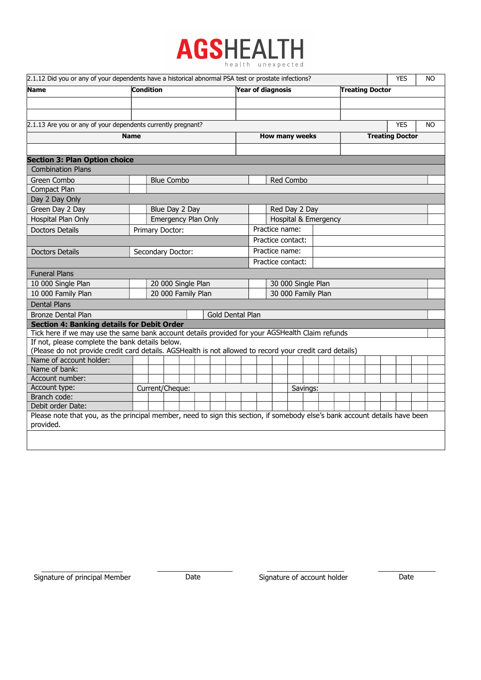

| 2.1.12 Did you or any of your dependents have a historical abnormal PSA test or prostate infections?                                     |  |                     |  |  |                  |  |                                                    |                      |                    |  |  |  | <b>YES</b> | <b>NO</b> |                        |            |           |  |  |  |
|------------------------------------------------------------------------------------------------------------------------------------------|--|---------------------|--|--|------------------|--|----------------------------------------------------|----------------------|--------------------|--|--|--|------------|-----------|------------------------|------------|-----------|--|--|--|
| Name                                                                                                                                     |  | <b>Condition</b>    |  |  |                  |  | <b>Year of diagnosis</b><br><b>Treating Doctor</b> |                      |                    |  |  |  |            |           |                        |            |           |  |  |  |
|                                                                                                                                          |  |                     |  |  |                  |  |                                                    |                      |                    |  |  |  |            |           |                        |            |           |  |  |  |
|                                                                                                                                          |  |                     |  |  |                  |  |                                                    |                      |                    |  |  |  |            |           |                        |            |           |  |  |  |
| 2.1.13 Are you or any of your dependents currently pregnant?                                                                             |  |                     |  |  |                  |  |                                                    |                      |                    |  |  |  |            |           |                        | <b>YES</b> | <b>NO</b> |  |  |  |
| <b>Name</b>                                                                                                                              |  |                     |  |  |                  |  |                                                    | How many weeks       |                    |  |  |  |            |           | <b>Treating Doctor</b> |            |           |  |  |  |
|                                                                                                                                          |  |                     |  |  |                  |  |                                                    |                      |                    |  |  |  |            |           |                        |            |           |  |  |  |
| <b>Section 3: Plan Option choice</b>                                                                                                     |  |                     |  |  |                  |  |                                                    |                      |                    |  |  |  |            |           |                        |            |           |  |  |  |
| <b>Combination Plans</b>                                                                                                                 |  |                     |  |  |                  |  |                                                    |                      |                    |  |  |  |            |           |                        |            |           |  |  |  |
| Green Combo                                                                                                                              |  | <b>Blue Combo</b>   |  |  |                  |  | Red Combo                                          |                      |                    |  |  |  |            |           |                        |            |           |  |  |  |
| Compact Plan                                                                                                                             |  |                     |  |  |                  |  |                                                    |                      |                    |  |  |  |            |           |                        |            |           |  |  |  |
| Day 2 Day Only                                                                                                                           |  |                     |  |  |                  |  |                                                    |                      |                    |  |  |  |            |           |                        |            |           |  |  |  |
| Green Day 2 Day                                                                                                                          |  | Blue Day 2 Day      |  |  |                  |  |                                                    | Red Day 2 Day        |                    |  |  |  |            |           |                        |            |           |  |  |  |
| Hospital Plan Only                                                                                                                       |  | Emergency Plan Only |  |  |                  |  |                                                    | Hospital & Emergency |                    |  |  |  |            |           |                        |            |           |  |  |  |
| <b>Doctors Details</b>                                                                                                                   |  | Primary Doctor:     |  |  |                  |  |                                                    | Practice name:       |                    |  |  |  |            |           |                        |            |           |  |  |  |
|                                                                                                                                          |  |                     |  |  |                  |  |                                                    | Practice contact:    |                    |  |  |  |            |           |                        |            |           |  |  |  |
| Doctors Details<br>Secondary Doctor:                                                                                                     |  |                     |  |  |                  |  | Practice name:                                     |                      |                    |  |  |  |            |           |                        |            |           |  |  |  |
|                                                                                                                                          |  |                     |  |  |                  |  |                                                    |                      | Practice contact:  |  |  |  |            |           |                        |            |           |  |  |  |
| <b>Funeral Plans</b>                                                                                                                     |  |                     |  |  |                  |  |                                                    |                      |                    |  |  |  |            |           |                        |            |           |  |  |  |
| 10 000 Single Plan                                                                                                                       |  | 20 000 Single Plan  |  |  |                  |  |                                                    |                      | 30 000 Single Plan |  |  |  |            |           |                        |            |           |  |  |  |
| 10 000 Family Plan                                                                                                                       |  | 20 000 Family Plan  |  |  |                  |  |                                                    |                      | 30 000 Family Plan |  |  |  |            |           |                        |            |           |  |  |  |
| <b>Dental Plans</b>                                                                                                                      |  |                     |  |  |                  |  |                                                    |                      |                    |  |  |  |            |           |                        |            |           |  |  |  |
| <b>Bronze Dental Plan</b>                                                                                                                |  |                     |  |  | Gold Dental Plan |  |                                                    |                      |                    |  |  |  |            |           |                        |            |           |  |  |  |
| <b>Section 4: Banking details for Debit Order</b>                                                                                        |  |                     |  |  |                  |  |                                                    |                      |                    |  |  |  |            |           |                        |            |           |  |  |  |
| Tick here if we may use the same bank account details provided for your AGSHealth Claim refunds                                          |  |                     |  |  |                  |  |                                                    |                      |                    |  |  |  |            |           |                        |            |           |  |  |  |
| If not, please complete the bank details below.                                                                                          |  |                     |  |  |                  |  |                                                    |                      |                    |  |  |  |            |           |                        |            |           |  |  |  |
| (Please do not provide credit card details. AGSHealth is not allowed to record your credit card details)                                 |  |                     |  |  |                  |  |                                                    |                      |                    |  |  |  |            |           |                        |            |           |  |  |  |
| Name of account holder:                                                                                                                  |  |                     |  |  |                  |  |                                                    |                      |                    |  |  |  |            |           |                        |            |           |  |  |  |
| Name of bank:                                                                                                                            |  |                     |  |  |                  |  |                                                    |                      |                    |  |  |  |            |           |                        |            |           |  |  |  |
| Account number:                                                                                                                          |  |                     |  |  |                  |  |                                                    |                      |                    |  |  |  |            |           |                        |            |           |  |  |  |
| Account type:                                                                                                                            |  | Current/Cheque:     |  |  |                  |  |                                                    | Savings:             |                    |  |  |  |            |           |                        |            |           |  |  |  |
| Branch code:                                                                                                                             |  |                     |  |  |                  |  |                                                    |                      |                    |  |  |  |            |           |                        |            |           |  |  |  |
| Debit order Date:                                                                                                                        |  |                     |  |  |                  |  |                                                    |                      |                    |  |  |  |            |           |                        |            |           |  |  |  |
| Please note that you, as the principal member, need to sign this section, if somebody else's bank account details have been<br>provided. |  |                     |  |  |                  |  |                                                    |                      |                    |  |  |  |            |           |                        |            |           |  |  |  |
|                                                                                                                                          |  |                     |  |  |                  |  |                                                    |                      |                    |  |  |  |            |           |                        |            |           |  |  |  |
|                                                                                                                                          |  |                     |  |  |                  |  |                                                    |                      |                    |  |  |  |            |           |                        |            |           |  |  |  |

Signature of principal Member Date Date Signature of account holder Date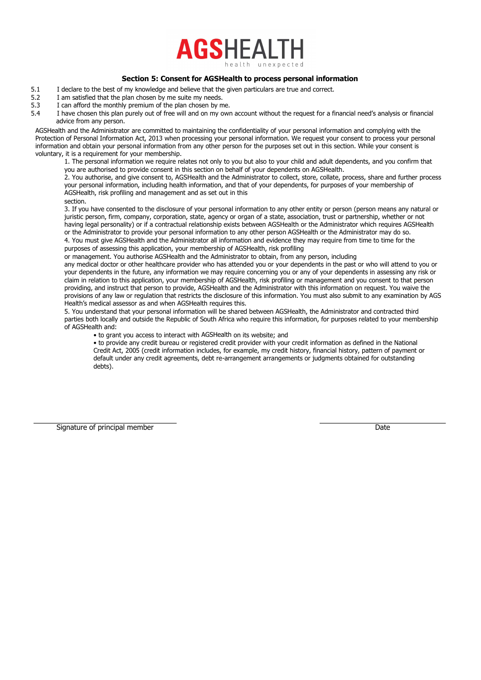

# Section 5: Consent for AGSHealth to process personal information

- 5.1 I declare to the best of my knowledge and believe that the given particulars are true and correct.
- 5.2 I am satisfied that the plan chosen by me suite my needs.<br>5.3 I can afford the monthly premium of the plan chosen by m
- I can afford the monthly premium of the plan chosen by me.
- 5.4 I have chosen this plan purely out of free will and on my own account without the request for a financial need's analysis or financial advice from any person.

AGSHealth and the Administrator are committed to maintaining the confidentiality of your personal information and complying with the Protection of Personal Information Act, 2013 when processing your personal information. We request your consent to process your personal information and obtain your personal information from any other person for the purposes set out in this section. While your consent is voluntary, it is a requirement for your membership.

1. The personal information we require relates not only to you but also to your child and adult dependents, and you confirm that you are authorised to provide consent in this section on behalf of your dependents on AGSHealth.

2. You authorise, and give consent to, AGSHealth and the Administrator to collect, store, collate, process, share and further process your personal information, including health information, and that of your dependents, for purposes of your membership of AGSHealth, risk profiling and management and as set out in this

section.

3. If you have consented to the disclosure of your personal information to any other entity or person (person means any natural or juristic person, firm, company, corporation, state, agency or organ of a state, association, trust or partnership, whether or not having legal personality) or if a contractual relationship exists between AGSHealth or the Administrator which requires AGSHealth or the Administrator to provide your personal information to any other person AGSHealth or the Administrator may do so. 4. You must give AGSHealth and the Administrator all information and evidence they may require from time to time for the purposes of assessing this application, your membership of AGSHealth, risk profiling

or management. You authorise AGSHealth and the Administrator to obtain, from any person, including

any medical doctor or other healthcare provider who has attended you or your dependents in the past or who will attend to you or your dependents in the future, any information we may require concerning you or any of your dependents in assessing any risk or claim in relation to this application, your membership of AGSHealth, risk profiling or management and you consent to that person providing, and instruct that person to provide, AGSHealth and the Administrator with this information on request. You waive the provisions of any law or regulation that restricts the disclosure of this information. You must also submit to any examination by AGS Health's medical assessor as and when AGSHealth requires this.

5. You understand that your personal information will be shared between AGSHealth, the Administrator and contracted third parties both locally and outside the Republic of South Africa who require this information, for purposes related to your membership of AGSHealth and:

• to grant you access to interact with AGSHealth on its website; and

• to provide any credit bureau or registered credit provider with your credit information as defined in the National Credit Act, 2005 (credit information includes, for example, my credit history, financial history, pattern of payment or default under any credit agreements, debt re-arrangement arrangements or judgments obtained for outstanding debts).

Signature of principal member Date